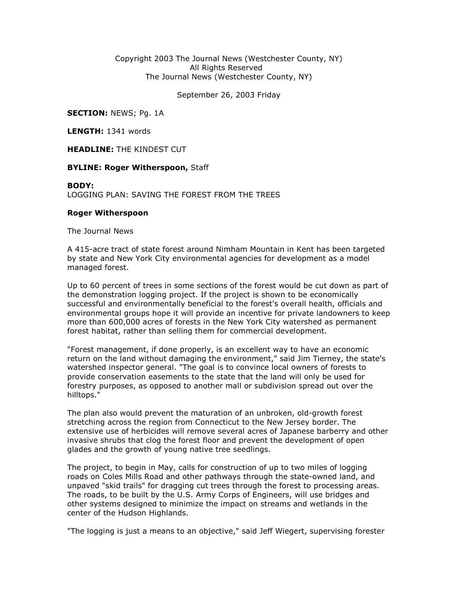## Copyright 2003 The Journal News (Westchester County, NY) All Rights Reserved The Journal News (Westchester County, NY)

September 26, 2003 Friday

SECTION: NEWS; Pg. 1A

LENGTH: 1341 words

**HEADLINE: THE KINDEST CUT** 

## **BYLINE: Roger Witherspoon, Staff**

## BODY:

LOGGING PLAN: SAVING THE FOREST FROM THE TREES

## Roger Witherspoon

The Journal News

A 415-acre tract of state forest around Nimham Mountain in Kent has been targeted by state and New York City environmental agencies for development as a model managed forest.

Up to 60 percent of trees in some sections of the forest would be cut down as part of the demonstration logging project. If the project is shown to be economically successful and environmentally beneficial to the forest's overall health, officials and environmental groups hope it will provide an incentive for private landowners to keep more than 600,000 acres of forests in the New York City watershed as permanent forest habitat, rather than selling them for commercial development.

"Forest management, if done properly, is an excellent way to have an economic return on the land without damaging the environment," said Jim Tierney, the state's watershed inspector general. "The goal is to convince local owners of forests to provide conservation easements to the state that the land will only be used for forestry purposes, as opposed to another mall or subdivision spread out over the hilltops."

The plan also would prevent the maturation of an unbroken, old-growth forest stretching across the region from Connecticut to the New Jersey border. The extensive use of herbicides will remove several acres of Japanese barberry and other invasive shrubs that clog the forest floor and prevent the development of open glades and the growth of young native tree seedlings.

The project, to begin in May, calls for construction of up to two miles of logging roads on Coles Mills Road and other pathways through the state-owned land, and unpaved "skid trails" for dragging cut trees through the forest to processing areas. The roads, to be built by the U.S. Army Corps of Engineers, will use bridges and other systems designed to minimize the impact on streams and wetlands in the center of the Hudson Highlands.

"The logging is just a means to an objective," said Jeff Wiegert, supervising forester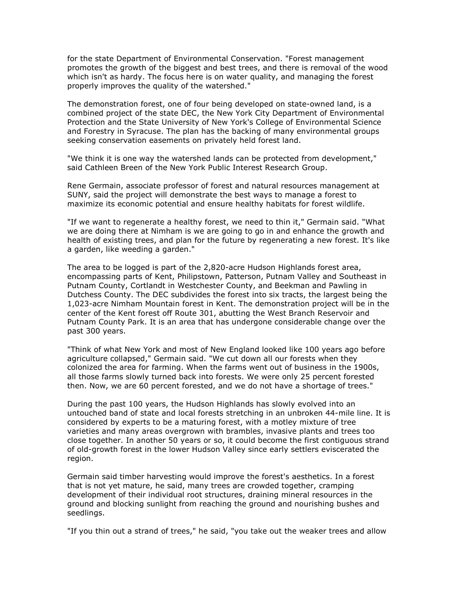for the state Department of Environmental Conservation. "Forest management promotes the growth of the biggest and best trees, and there is removal of the wood which isn't as hardy. The focus here is on water quality, and managing the forest properly improves the quality of the watershed."

The demonstration forest, one of four being developed on state-owned land, is a combined project of the state DEC, the New York City Department of Environmental Protection and the State University of New York's College of Environmental Science and Forestry in Syracuse. The plan has the backing of many environmental groups seeking conservation easements on privately held forest land.

"We think it is one way the watershed lands can be protected from development," said Cathleen Breen of the New York Public Interest Research Group.

Rene Germain, associate professor of forest and natural resources management at SUNY, said the project will demonstrate the best ways to manage a forest to maximize its economic potential and ensure healthy habitats for forest wildlife.

"If we want to regenerate a healthy forest, we need to thin it," Germain said. "What we are doing there at Nimham is we are going to go in and enhance the growth and health of existing trees, and plan for the future by regenerating a new forest. It's like a garden, like weeding a garden."

The area to be logged is part of the 2,820-acre Hudson Highlands forest area, encompassing parts of Kent, Philipstown, Patterson, Putnam Valley and Southeast in Putnam County, Cortlandt in Westchester County, and Beekman and Pawling in Dutchess County. The DEC subdivides the forest into six tracts, the largest being the 1,023-acre Nimham Mountain forest in Kent. The demonstration project will be in the center of the Kent forest off Route 301, abutting the West Branch Reservoir and Putnam County Park. It is an area that has undergone considerable change over the past 300 years.

"Think of what New York and most of New England looked like 100 years ago before agriculture collapsed," Germain said. "We cut down all our forests when they colonized the area for farming. When the farms went out of business in the 1900s, all those farms slowly turned back into forests. We were only 25 percent forested then. Now, we are 60 percent forested, and we do not have a shortage of trees."

During the past 100 years, the Hudson Highlands has slowly evolved into an untouched band of state and local forests stretching in an unbroken 44-mile line. It is considered by experts to be a maturing forest, with a motley mixture of tree varieties and many areas overgrown with brambles, invasive plants and trees too close together. In another 50 years or so, it could become the first contiguous strand of old-growth forest in the lower Hudson Valley since early settlers eviscerated the region.

Germain said timber harvesting would improve the forest's aesthetics. In a forest that is not yet mature, he said, many trees are crowded together, cramping development of their individual root structures, draining mineral resources in the ground and blocking sunlight from reaching the ground and nourishing bushes and seedlings.

"If you thin out a strand of trees," he said, "you take out the weaker trees and allow